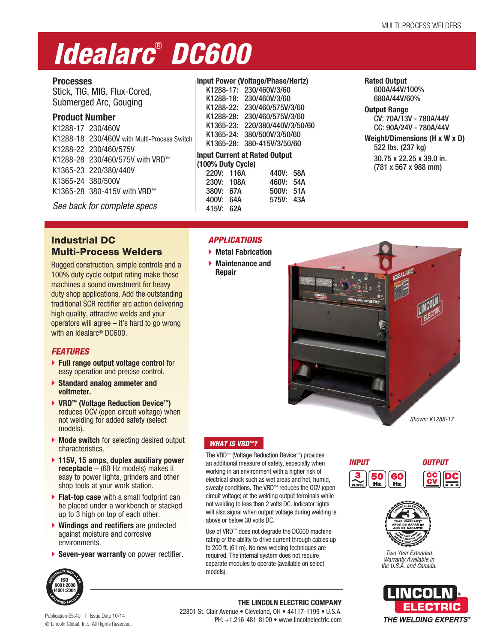# *Idealarc*®  *DC600*

## **Processes**

Stick, TIG, MIG, Flux-Cored, Submerged Arc, Gouging

## **Product Number**

| K1288-17 230/460V |                                             |
|-------------------|---------------------------------------------|
|                   | K1288-18 230/460V with Multi-Process Switch |
|                   | K1288-22 230/460/575V                       |
|                   | K1288-28 230/460/575V with VRD™             |
|                   | K1365-23 220/380/440V                       |
| K1365-24 380/500V |                                             |
|                   | K1365-28 380-415V with VRD™                 |
|                   |                                             |

*See back for complete specs*

## **Input Power (Voltage/Phase/Hertz)**

| K1288-17: 230/460V/3/60              |
|--------------------------------------|
| 230/460V/3/60<br>K1288-18:           |
| 230/460/575V/3/60<br>K1288-22:       |
| 230/460/575V/3/60<br>K1288-28:       |
| K1365-23: 220/380/440V/3/50/60       |
| 380/500V/3/50/60<br>K1365-24:        |
| 380-415V/3/50/60<br>K1365-28:        |
| <b>Input Current at Rated Output</b> |
| (100% Duty Cycle)                    |
| 220V: 116A<br>440V:<br>58A           |
| 230V: 108A<br>460V:<br>54A           |
| 500V: 51A<br>380V: 67A               |
| 43A<br>400V:<br>575V:<br>64A         |

415V: 62A

*APPLICATIONS* **Metal Fabrication Maintenance and Repair**

#### **Rated Output** 600A/44V/100% 680A/44V/60%

**Output Range** CV: 70A/13V - 780A/44V CC: 90A/24V - 780A/44V

**Weight/Dimensions (H x W x D)** 522 lbs. (237 kg) 30.75 x 22.25 x 39.0 in. (781 x 567 x 988 mm)

## Industrial DC Multi-Process Welders

Rugged construction, simple controls and a 100% duty cycle output rating make these machines a sound investment for heavy duty shop applications. Add the outstanding traditional SCR rectifier arc action delivering high quality, attractive welds and your operators will agree – it's hard to go wrong with an Idealarc® DC600.

## *FEATURES*

- **Full range output voltage control** for easy operation and precise control.
- **Standard analog ammeter and voltmeter.**
- **VRD™ (Voltage Reduction Device™)** reduces OCV (open circuit voltage) when not welding for added safety (select models).
- **Mode switch** for selecting desired output characteristics.
- **115V, 15 amps, duplex auxiliary power receptacle** – (60 Hz models) makes it easy to power lights, grinders and other shop tools at your work station.
- **Flat-top case** with a small footprint can be placed under a workbench or stacked up to 3 high on top of each other.
- **Windings and rectifiers** are protected against moisture and corrosive environments.
- **Seven-year warranty** on power rectifier.



# *WHAT IS VRD™?*

The VRD™ (Voltage Reduction Device™) provides an additional measure of safety, especially when working in an environment with a higher risk of electrical shock such as wet areas and hot, humid, sweaty conditions. The VRD<sup>™</sup> reduces the OCV (open circuit voltage) at the welding output terminals while not welding to less than 2 volts DC. Indicator lights will also signal when output voltage during welding is above or below 30 volts DC.

Use of VRD™ does not degrade the DC600 machine rating or the ability to drive current through cables up to 200 ft. (61 m). No new welding techniques are required. The internal system does not require separate modules to operate (available on select models).







*Two Year Extended Warranty Available in the U.S.A. and Canada.*



ISO **9001:2000 14001:2004**

Publication E5.40 | Issue Date 10/14 © Lincoln Global, Inc. All Rights Reserved.

**THE LINCOLN ELECTRIC COMPANY** 22801 St. Clair Avenue • Cleveland, OH • 44117-1199 • U.S.A. PH: +1.216-481-8100 • www.lincolnelectric.com